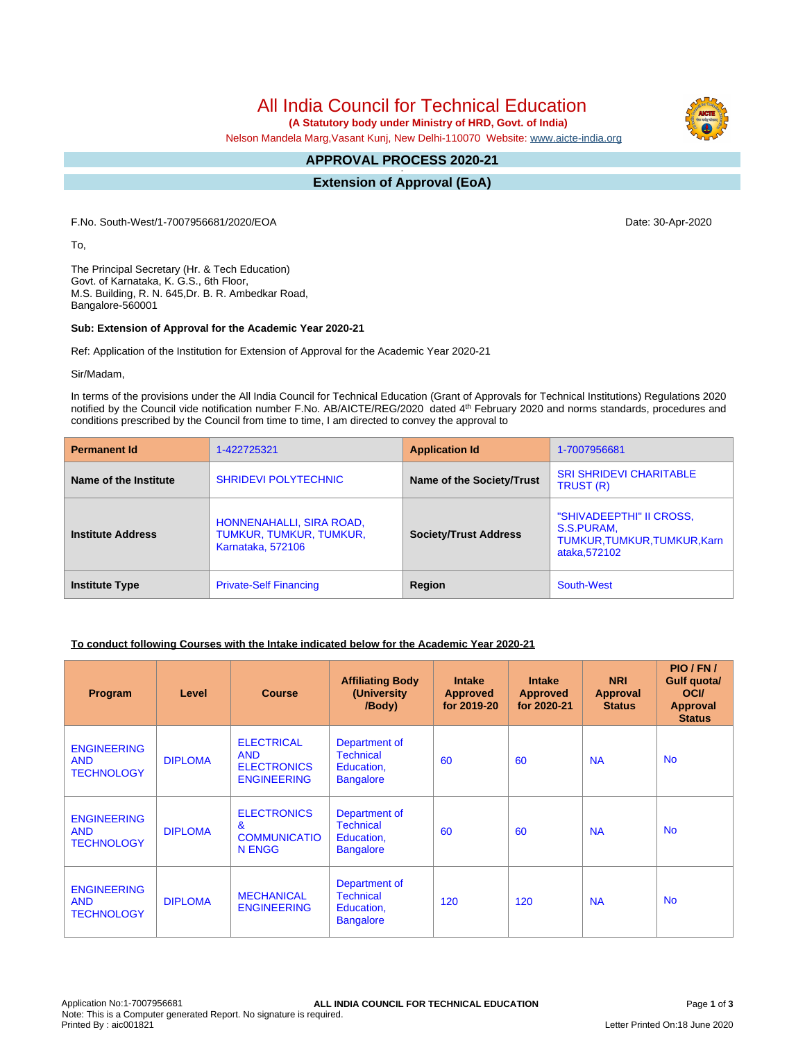All India Council for Technical Education

 **(A Statutory body under Ministry of HRD, Govt. of India)**

Nelson Mandela Marg,Vasant Kunj, New Delhi-110070 Website: [www.aicte-india.org](http://www.aicte-india.org)

#### **APPROVAL PROCESS 2020-21 -**

**Extension of Approval (EoA)**

F.No. South-West/1-7007956681/2020/EOA Date: 30-Apr-2020

To,

The Principal Secretary (Hr. & Tech Education) Govt. of Karnataka, K. G.S., 6th Floor, M.S. Building, R. N. 645,Dr. B. R. Ambedkar Road, Bangalore-560001

#### **Sub: Extension of Approval for the Academic Year 2020-21**

Ref: Application of the Institution for Extension of Approval for the Academic Year 2020-21

Sir/Madam,

In terms of the provisions under the All India Council for Technical Education (Grant of Approvals for Technical Institutions) Regulations 2020 notified by the Council vide notification number F.No. AB/AICTE/REG/2020 dated 4<sup>th</sup> February 2020 and norms standards, procedures and conditions prescribed by the Council from time to time, I am directed to convey the approval to

| <b>Permanent Id</b>      | 1-422725321                                                                     | <b>Application Id</b>        | 1-7007956681                                                                            |  |
|--------------------------|---------------------------------------------------------------------------------|------------------------------|-----------------------------------------------------------------------------------------|--|
| Name of the Institute    | <b>SHRIDEVI POLYTECHNIC</b>                                                     | Name of the Society/Trust    | <b>SRI SHRIDEVI CHARITABLE</b><br>TRUST (R)                                             |  |
| <b>Institute Address</b> | HONNENAHALLI, SIRA ROAD,<br>TUMKUR, TUMKUR, TUMKUR,<br><b>Karnataka, 572106</b> | <b>Society/Trust Address</b> | "SHIVADEEPTHI" II CROSS,<br>S.S.PURAM,<br>TUMKUR, TUMKUR, TUMKUR, Karn<br>ataka, 572102 |  |
| <b>Institute Type</b>    | <b>Private-Self Financing</b>                                                   | Region                       | South-West                                                                              |  |

# **To conduct following Courses with the Intake indicated below for the Academic Year 2020-21**

| Program                                               | Level          | <b>Course</b>                                                               | <b>Affiliating Body</b><br>(University)<br>/Body)                   | <b>Intake</b><br><b>Approved</b><br>for 2019-20 | <b>Intake</b><br><b>Approved</b><br>for 2020-21 | <b>NRI</b><br>Approval<br><b>Status</b> | PIO/FN/<br><b>Gulf quota/</b><br><b>OCI</b><br><b>Approval</b><br><b>Status</b> |
|-------------------------------------------------------|----------------|-----------------------------------------------------------------------------|---------------------------------------------------------------------|-------------------------------------------------|-------------------------------------------------|-----------------------------------------|---------------------------------------------------------------------------------|
| <b>ENGINEERING</b><br><b>AND</b><br><b>TECHNOLOGY</b> | <b>DIPLOMA</b> | <b>ELECTRICAL</b><br><b>AND</b><br><b>ELECTRONICS</b><br><b>ENGINEERING</b> | Department of<br><b>Technical</b><br>Education,<br><b>Bangalore</b> | 60                                              | 60                                              | <b>NA</b>                               | <b>No</b>                                                                       |
| <b>ENGINEERING</b><br><b>AND</b><br><b>TECHNOLOGY</b> | <b>DIPLOMA</b> | <b>ELECTRONICS</b><br>$\mathbf{g}$<br><b>COMMUNICATIO</b><br>N ENGG         | Department of<br><b>Technical</b><br>Education,<br><b>Bangalore</b> | 60                                              | 60                                              | <b>NA</b>                               | <b>No</b>                                                                       |
| <b>ENGINEERING</b><br><b>AND</b><br><b>TECHNOLOGY</b> | <b>DIPLOMA</b> | <b>MECHANICAL</b><br><b>ENGINEERING</b>                                     | Department of<br><b>Technical</b><br>Education,<br><b>Bangalore</b> | 120                                             | 120                                             | <b>NA</b>                               | <b>No</b>                                                                       |

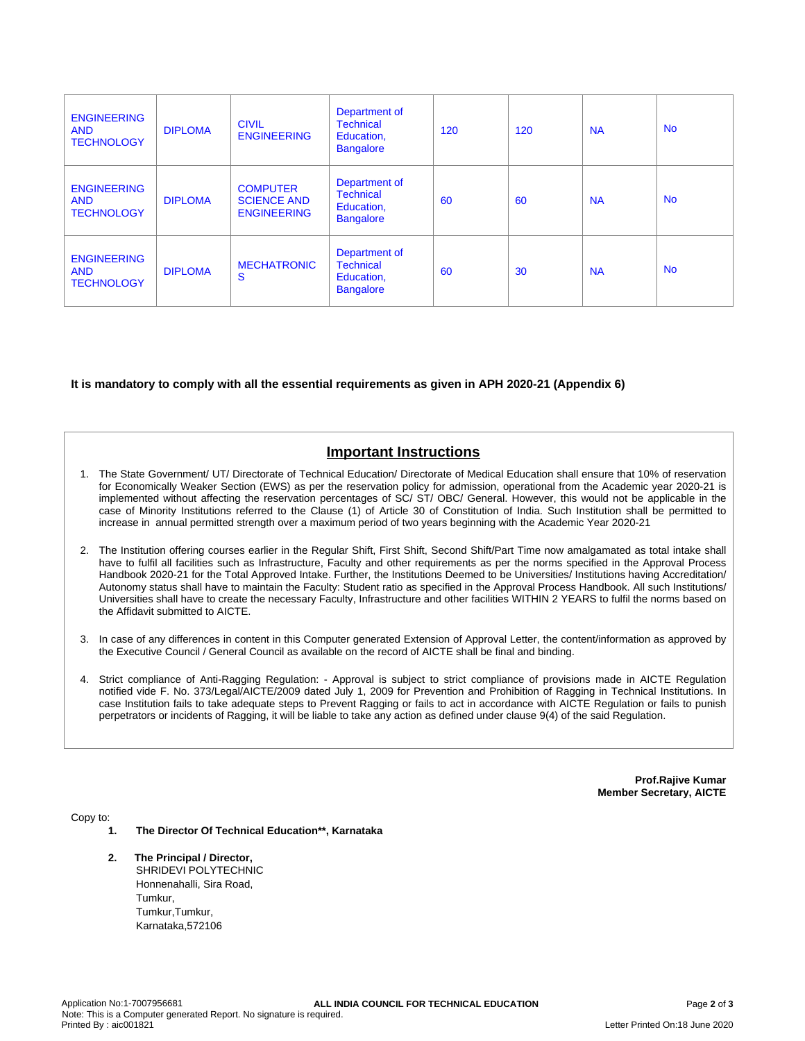| <b>ENGINEERING</b><br><b>AND</b><br><b>TECHNOLOGY</b> | <b>DIPLOMA</b> | <b>CIVIL</b><br><b>ENGINEERING</b>                          | Department of<br><b>Technical</b><br>Education,<br><b>Bangalore</b> | 120 | 120 | <b>NA</b> | <b>No</b> |
|-------------------------------------------------------|----------------|-------------------------------------------------------------|---------------------------------------------------------------------|-----|-----|-----------|-----------|
| <b>ENGINEERING</b><br><b>AND</b><br><b>TECHNOLOGY</b> | <b>DIPLOMA</b> | <b>COMPUTER</b><br><b>SCIENCE AND</b><br><b>ENGINEERING</b> | Department of<br><b>Technical</b><br>Education,<br><b>Bangalore</b> | 60  | 60  | <b>NA</b> | <b>No</b> |
| <b>ENGINEERING</b><br><b>AND</b><br><b>TECHNOLOGY</b> | <b>DIPLOMA</b> | <b>MECHATRONIC</b><br>S                                     | Department of<br><b>Technical</b><br>Education,<br><b>Bangalore</b> | 60  | 30  | <b>NA</b> | <b>No</b> |

# **It is mandatory to comply with all the essential requirements as given in APH 2020-21 (Appendix 6)**

# **Important Instructions**

- 1. The State Government/ UT/ Directorate of Technical Education/ Directorate of Medical Education shall ensure that 10% of reservation for Economically Weaker Section (EWS) as per the reservation policy for admission, operational from the Academic year 2020-21 is implemented without affecting the reservation percentages of SC/ ST/ OBC/ General. However, this would not be applicable in the case of Minority Institutions referred to the Clause (1) of Article 30 of Constitution of India. Such Institution shall be permitted to increase in annual permitted strength over a maximum period of two years beginning with the Academic Year 2020-21
- 2. The Institution offering courses earlier in the Regular Shift, First Shift, Second Shift/Part Time now amalgamated as total intake shall have to fulfil all facilities such as Infrastructure, Faculty and other requirements as per the norms specified in the Approval Process Handbook 2020-21 for the Total Approved Intake. Further, the Institutions Deemed to be Universities/ Institutions having Accreditation/ Autonomy status shall have to maintain the Faculty: Student ratio as specified in the Approval Process Handbook. All such Institutions/ Universities shall have to create the necessary Faculty, Infrastructure and other facilities WITHIN 2 YEARS to fulfil the norms based on the Affidavit submitted to AICTE.
- 3. In case of any differences in content in this Computer generated Extension of Approval Letter, the content/information as approved by the Executive Council / General Council as available on the record of AICTE shall be final and binding.
- 4. Strict compliance of Anti-Ragging Regulation: Approval is subject to strict compliance of provisions made in AICTE Regulation notified vide F. No. 373/Legal/AICTE/2009 dated July 1, 2009 for Prevention and Prohibition of Ragging in Technical Institutions. In case Institution fails to take adequate steps to Prevent Ragging or fails to act in accordance with AICTE Regulation or fails to punish perpetrators or incidents of Ragging, it will be liable to take any action as defined under clause 9(4) of the said Regulation.

**Prof.Rajive Kumar Member Secretary, AICTE**

Copy to:

- **1. The Director Of Technical Education\*\*, Karnataka**
- **2. The Principal / Director,** SHRIDEVI POLYTECHNIC Honnenahalli, Sira Road, Tumkur, Tumkur, Tumkur, Karnataka,572106